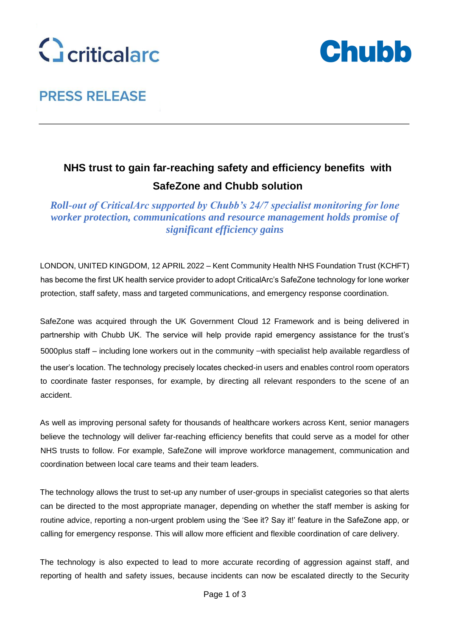



# **PRESS RELEASE**

## **NHS trust to gain far-reaching safety and efficiency benefits with SafeZone and Chubb solution**

*Roll-out of CriticalArc supported by Chubb's 24/7 specialist monitoring for lone worker protection, communications and resource management holds promise of significant efficiency gains* 

LONDON, UNITED KINGDOM, 12 APRIL 2022 – Kent Community Health NHS Foundation Trust (KCHFT) has become the first UK health service provider to adopt CriticalArc's SafeZone technology for lone worker protection, staff safety, mass and targeted communications, and emergency response coordination.

SafeZone was acquired through the UK Government Cloud 12 Framework and is being delivered in partnership with Chubb UK. The service will help provide rapid emergency assistance for the trust's 5000plus staff – including lone workers out in the community –with specialist help available regardless of the user's location. The technology precisely locates checked-in users and enables control room operators to coordinate faster responses, for example, by directing all relevant responders to the scene of an accident.

As well as improving personal safety for thousands of healthcare workers across Kent, senior managers believe the technology will deliver far-reaching efficiency benefits that could serve as a model for other NHS trusts to follow. For example, SafeZone will improve workforce management, communication and coordination between local care teams and their team leaders.

The technology allows the trust to set-up any number of user-groups in specialist categories so that alerts can be directed to the most appropriate manager, depending on whether the staff member is asking for routine advice, reporting a non-urgent problem using the 'See it? Say it!' feature in the SafeZone app, or calling for emergency response. This will allow more efficient and flexible coordination of care delivery.

The technology is also expected to lead to more accurate recording of aggression against staff, and reporting of health and safety issues, because incidents can now be escalated directly to the Security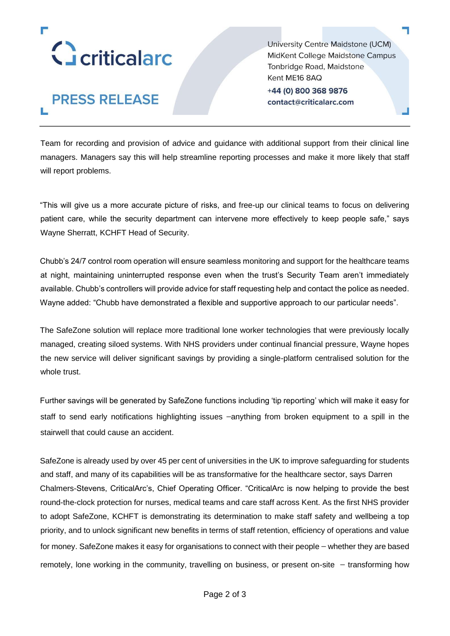

**PRESS RELEASE** 

University Centre Maidstone (UCM) MidKent College Maidstone Campus Tonbridge Road, Maidstone Kent ME16 8AQ +44 (0) 800 368 9876 contact@criticalarc.com

Team for recording and provision of advice and guidance with additional support from their clinical line managers. Managers say this will help streamline reporting processes and make it more likely that staff will report problems.

"This will give us a more accurate picture of risks, and free-up our clinical teams to focus on delivering patient care, while the security department can intervene more effectively to keep people safe," says Wayne Sherratt, KCHFT Head of Security.

Chubb's 24/7 control room operation will ensure seamless monitoring and support for the healthcare teams at night, maintaining uninterrupted response even when the trust's Security Team aren't immediately available. Chubb's controllers will provide advice for staff requesting help and contact the police as needed. Wayne added: "Chubb have demonstrated a flexible and supportive approach to our particular needs".

The SafeZone solution will replace more traditional lone worker technologies that were previously locally managed, creating siloed systems. With NHS providers under continual financial pressure, Wayne hopes the new service will deliver significant savings by providing a single-platform centralised solution for the whole trust.

Further savings will be generated by SafeZone functions including 'tip reporting' which will make it easy for staff to send early notifications highlighting issues –anything from broken equipment to a spill in the stairwell that could cause an accident.

SafeZone is already used by over 45 per cent of universities in the UK to improve safeguarding for students and staff, and many of its capabilities will be as transformative for the healthcare sector, says Darren Chalmers-Stevens, CriticalArc's, Chief Operating Officer. "CriticalArc is now helping to provide the best round-the-clock protection for nurses, medical teams and care staff across Kent. As the first NHS provider to adopt SafeZone, KCHFT is demonstrating its determination to make staff safety and wellbeing a top priority, and to unlock significant new benefits in terms of staff retention, efficiency of operations and value for money. SafeZone makes it easy for organisations to connect with their people – whether they are based remotely, lone working in the community, travelling on business, or present on-site – transforming how